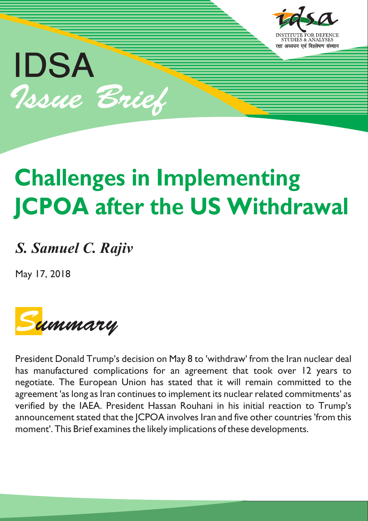

# **Challenges in Implementing JCPOA after the US Withdrawal**

# *S. Samuel C. Rajiv*

May 17, 2018

IDSA

Issue Brief



President Donald Trump's decision on May 8 to 'withdraw' from the Iran nuclear deal has manufactured complications for an agreement that took over 12 years to negotiate. The European Union has stated that it will remain committed to the agreement 'as long as Iran continues to implement its nuclear related commitments' as verified by the IAEA. President Hassan Rouhani in his initial reaction to Trump's announcement stated that the JCPOA involves Iran and five other countries 'from this moment'. This Brief examines the likely implications of these developments.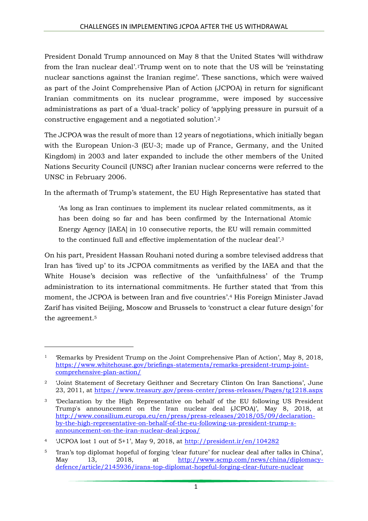President Donald Trump announced on May 8 that the United States 'will withdraw from the Iran nuclear deal'.1Trump went on to note that the US will be 'reinstating nuclear sanctions against the Iranian regime'. These sanctions, which were waived as part of the Joint Comprehensive Plan of Action (JCPOA) in return for significant Iranian commitments on its nuclear programme, were imposed by successive administrations as part of a 'dual-track' policy of 'applying pressure in pursuit of a constructive engagement and a negotiated solution'.<sup>2</sup>

The JCPOA was the result of more than 12 years of negotiations, which initially began with the European Union-3 (EU-3; made up of France, Germany, and the United Kingdom) in 2003 and later expanded to include the other members of the United Nations Security Council (UNSC) after Iranian nuclear concerns were referred to the UNSC in February 2006.

In the aftermath of Trump's statement, the EU High Representative has stated that

'As long as Iran continues to implement its nuclear related commitments, as it has been doing so far and has been confirmed by the International Atomic Energy Agency [IAEA] in 10 consecutive reports, the EU will remain committed to the continued full and effective implementation of the nuclear deal'. 3

On his part, President Hassan Rouhani noted during a sombre televised address that Iran has 'lived up' to its JCPOA commitments as verified by the IAEA and that the White House's decision was reflective of the 'unfaithfulness' of the Trump administration to its international commitments. He further stated that 'from this moment, the JCPOA is between Iran and five countries'.<sup>4</sup> His Foreign Minister Javad Zarif has visited Beijing, Moscow and Brussels to 'construct a clear future design' for the agreement.<sup>5</sup>

**.** 

<sup>1</sup> 'Remarks by President Trump on the Joint Comprehensive Plan of Action', May 8, 2018, [https://www.whitehouse.gov/briefings-statements/remarks-president-trump-joint](https://www.whitehouse.gov/briefings-statements/remarks-president-trump-joint-comprehensive-plan-action/)[comprehensive-plan-action/](https://www.whitehouse.gov/briefings-statements/remarks-president-trump-joint-comprehensive-plan-action/)

<sup>2</sup> 'Joint Statement of Secretary Geithner and Secretary Clinton On Iran Sanctions', June 23, 2011, at<https://www.treasury.gov/press-center/press-releases/Pages/tg1218.aspx>

<sup>3</sup> 'Declaration by the High Representative on behalf of the EU following US President Trump's announcement on the Iran nuclear deal (JCPOA)', May 8, 2018, at [http://www.consilium.europa.eu/en/press/press-releases/2018/05/09/declaration](http://www.consilium.europa.eu/en/press/press-releases/2018/05/09/declaration-by-the-high-representative-on-behalf-of-the-eu-following-us-president-trump-s-announcement-on-the-iran-nuclear-deal-jcpoa/)[by-the-high-representative-on-behalf-of-the-eu-following-us-president-trump-s](http://www.consilium.europa.eu/en/press/press-releases/2018/05/09/declaration-by-the-high-representative-on-behalf-of-the-eu-following-us-president-trump-s-announcement-on-the-iran-nuclear-deal-jcpoa/)[announcement-on-the-iran-nuclear-deal-jcpoa/](http://www.consilium.europa.eu/en/press/press-releases/2018/05/09/declaration-by-the-high-representative-on-behalf-of-the-eu-following-us-president-trump-s-announcement-on-the-iran-nuclear-deal-jcpoa/)

<sup>4</sup> 'JCPOA lost 1 out of 5+1', May 9, 2018, at <http://president.ir/en/104282>

<sup>5</sup> 'Iran's top diplomat hopeful of forging 'clear future' for nuclear deal after talks in China', May 13, 2018, at [http://www.scmp.com/news/china/diplomacy](http://www.scmp.com/news/china/diplomacy-defence/article/2145936/irans-top-diplomat-hopeful-forging-clear-future-nuclear)[defence/article/2145936/irans-top-diplomat-hopeful-forging-clear-future-nuclear](http://www.scmp.com/news/china/diplomacy-defence/article/2145936/irans-top-diplomat-hopeful-forging-clear-future-nuclear)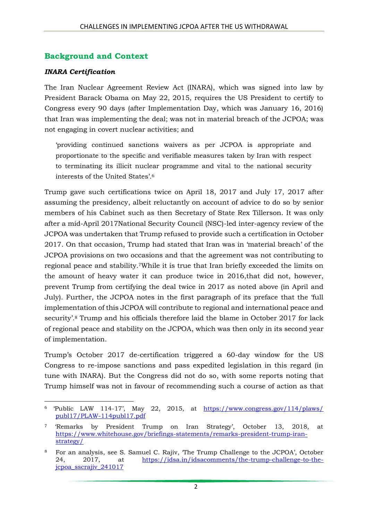## **Background and Context**

#### *INARA Certification*

The Iran Nuclear Agreement Review Act (INARA), which was signed into law by President Barack Obama on May 22, 2015, requires the US President to certify to Congress every 90 days (after Implementation Day, which was January 16, 2016) that Iran was implementing the deal; was not in material breach of the JCPOA; was not engaging in covert nuclear activities; and

'providing continued sanctions waivers as per JCPOA is appropriate and proportionate to the specific and verifiable measures taken by Iran with respect to terminating its illicit nuclear programme and vital to the national security interests of the United States'.<sup>6</sup>

Trump gave such certifications twice on April 18, 2017 and July 17, 2017 after assuming the presidency, albeit reluctantly on account of advice to do so by senior members of his Cabinet such as then Secretary of State Rex Tillerson. It was only after a mid-April 2017National Security Council (NSC)-led inter-agency review of the JCPOA was undertaken that Trump refused to provide such a certification in October 2017. On that occasion, Trump had stated that Iran was in 'material breach' of the JCPOA provisions on two occasions and that the agreement was not contributing to regional peace and stability.7While it is true that Iran briefly exceeded the limits on the amount of heavy water it can produce twice in 2016,that did not, however, prevent Trump from certifying the deal twice in 2017 as noted above (in April and July). Further, the JCPOA notes in the first paragraph of its preface that the 'full implementation of this JCPOA will contribute to regional and international peace and security'.<sup>8</sup> Trump and his officials therefore laid the blame in October 2017 for lack of regional peace and stability on the JCPOA, which was then only in its second year of implementation.

Trump's October 2017 de-certification triggered a 60-day window for the US Congress to re-impose sanctions and pass expedited legislation in this regard (in tune with INARA). But the Congress did not do so, with some reports noting that Trump himself was not in favour of recommending such a course of action as that

 $\overline{a}$ <sup>6</sup> 'Public LAW 114-17', May 22, 2015, at [https://www.congress.gov/114/plaws/](https://www.congress.gov/114/plaws/%20publ17/PLAW-114publ17.pdf) [publ17/PLAW-114publ17.pdf](https://www.congress.gov/114/plaws/%20publ17/PLAW-114publ17.pdf)

<sup>7</sup> 'Remarks by President Trump on Iran Strategy', October 13, 2018, at [https://www.whitehouse.gov/briefings-statements/remarks-president-trump-iran](https://www.whitehouse.gov/briefings-statements/remarks-president-trump-iran-strategy/)[strategy/](https://www.whitehouse.gov/briefings-statements/remarks-president-trump-iran-strategy/)

<sup>8</sup> For an analysis, see S. Samuel C. Rajiv, 'The Trump Challenge to the JCPOA', October 24, 2017, at [https://idsa.in/idsacomments/the-trump-challenge-to-the](https://idsa.in/idsacomments/the-trump-challenge-to-the-jcpoa_sscrajiv_241017)[jcpoa\\_sscrajiv\\_241017](https://idsa.in/idsacomments/the-trump-challenge-to-the-jcpoa_sscrajiv_241017)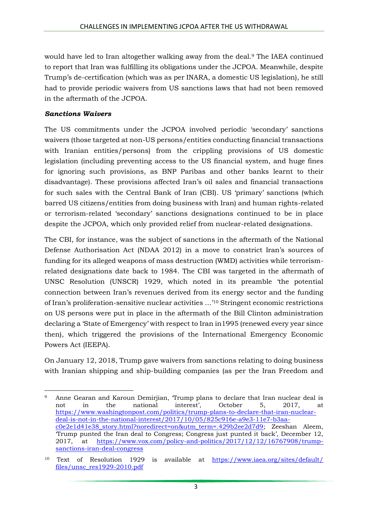would have led to Iran altogether walking away from the deal.<sup>9</sup> The IAEA continued to report that Iran was fulfilling its obligations under the JCPOA. Meanwhile, despite Trump's de-certification (which was as per INARA, a domestic US legislation), he still had to provide periodic waivers from US sanctions laws that had not been removed in the aftermath of the JCPOA.

#### *Sanctions Waivers*

The US commitments under the JCPOA involved periodic 'secondary' sanctions waivers (those targeted at non-US persons/entities conducting financial transactions with Iranian entities/persons) from the crippling provisions of US domestic legislation (including preventing access to the US financial system, and huge fines for ignoring such provisions, as BNP Paribas and other banks learnt to their disadvantage). These provisions affected Iran's oil sales and financial transactions for such sales with the Central Bank of Iran (CBI). US 'primary' sanctions (which barred US citizens/entities from doing business with Iran) and human rights-related or terrorism-related 'secondary' sanctions designations continued to be in place despite the JCPOA, which only provided relief from nuclear-related designations.

The CBI, for instance, was the subject of sanctions in the aftermath of the National Defense Authorisation Act (NDAA 2012) in a move to constrict Iran's sources of funding for its alleged weapons of mass destruction (WMD) activities while terrorismrelated designations date back to 1984. The CBI was targeted in the aftermath of UNSC Resolution (UNSCR) 1929, which noted in its preamble 'the potential connection between Iran's revenues derived from its energy sector and the funding of Iran's proliferation-sensitive nuclear activities …'<sup>10</sup> Stringent economic restrictions on US persons were put in place in the aftermath of the Bill Clinton administration declaring a 'State of Emergency' with respect to Iran in1995 (renewed every year since then), which triggered the provisions of the International Emergency Economic Powers Act (IEEPA).

On January 12, 2018, Trump gave waivers from sanctions relating to doing business with Iranian shipping and ship-building companies (as per the Iran Freedom and

**<sup>.</sup>** <sup>9</sup> Anne Gearan and Karoun Demirjian, 'Trump plans to declare that Iran nuclear deal is not in the national interest', October 5, 2017, at [https://www.washingtonpost.com/politics/trump-plans-to-declare-that-iran-nuclear](https://www.washingtonpost.com/politics/trump-plans-to-declare-that-iran-nuclear-deal-is-not-in-the-national-interest/2017/10/05/825c916e-a9e3-11e7-b3aa-c0e2e1d41e38_story.html?noredirect=on&utm_term=.429b2ee2d7d9)[deal-is-not-in-the-national-interest/2017/10/05/825c916e-a9e3-11e7-b3aa](https://www.washingtonpost.com/politics/trump-plans-to-declare-that-iran-nuclear-deal-is-not-in-the-national-interest/2017/10/05/825c916e-a9e3-11e7-b3aa-c0e2e1d41e38_story.html?noredirect=on&utm_term=.429b2ee2d7d9)[c0e2e1d41e38\\_story.html?noredirect=on&utm\\_term=.429b2ee2d7d9;](https://www.washingtonpost.com/politics/trump-plans-to-declare-that-iran-nuclear-deal-is-not-in-the-national-interest/2017/10/05/825c916e-a9e3-11e7-b3aa-c0e2e1d41e38_story.html?noredirect=on&utm_term=.429b2ee2d7d9) Zeeshan Aleem, 'Trump punted the Iran deal to Congress; Congress just punted it back', December 12, 2017, at [https://www.vox.com/policy-and-politics/2017/12/12/16767908/trump](https://www.vox.com/policy-and-politics/2017/12/12/16767908/trump-sanctions-iran-deal-congress)[sanctions-iran-deal-congress](https://www.vox.com/policy-and-politics/2017/12/12/16767908/trump-sanctions-iran-deal-congress)

<sup>10</sup> Text of Resolution 1929 is available at [https://www.iaea.org/sites/default/](https://www.iaea.org/sites/default/%20files/unsc_res1929-2010.pdf) [files/unsc\\_res1929-2010.pdf](https://www.iaea.org/sites/default/%20files/unsc_res1929-2010.pdf)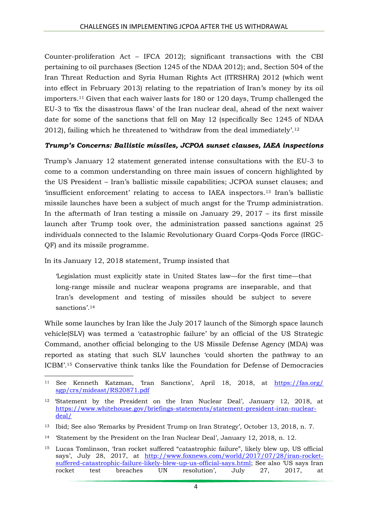Counter-proliferation Act – IFCA 2012); significant transactions with the CBI pertaining to oil purchases (Section 1245 of the NDAA 2012); and, Section 504 of the Iran Threat Reduction and Syria Human Rights Act (ITRSHRA) 2012 (which went into effect in February 2013) relating to the repatriation of Iran's money by its oil importers.<sup>11</sup> Given that each waiver lasts for 180 or 120 days, Trump challenged the EU-3 to 'fix the disastrous flaws' of the Iran nuclear deal, ahead of the next waiver date for some of the sanctions that fell on May 12 (specifically Sec 1245 of NDAA 2012), failing which he threatened to 'withdraw from the deal immediately'.<sup>12</sup>

#### *Trump's Concerns: Ballistic missiles, JCPOA sunset clauses, IAEA inspections*

Trump's January 12 statement generated intense consultations with the EU-3 to come to a common understanding on three main issues of concern highlighted by the US President – Iran's ballistic missile capabilities; JCPOA sunset clauses; and 'insufficient enforcement' relating to access to IAEA inspectors.<sup>13</sup> Iran's ballistic missile launches have been a subject of much angst for the Trump administration. In the aftermath of Iran testing a missile on January 29, 2017 – its first missile launch after Trump took over, the administration passed sanctions against 25 individuals connected to the Islamic Revolutionary Guard Corps-Qods Force (IRGC-QF) and its missile programme.

In its January 12, 2018 statement, Trump insisted that

'Legislation must explicitly state in United States law—for the first time—that long-range missile and nuclear weapons programs are inseparable, and that Iran's development and testing of missiles should be subject to severe sanctions'.<sup>14</sup>

While some launches by Iran like the July 2017 launch of the Simorgh space launch vehicle(SLV) was termed a 'catastrophic failure' by an official of the US Strategic Command, another official belonging to the US Missile Defense Agency (MDA) was reported as stating that such SLV launches 'could shorten the pathway to an ICBM'.<sup>15</sup> Conservative think tanks like the Foundation for Defense of Democracies

**<sup>.</sup>** <sup>11</sup> See Kenneth Katzman, 'Iran Sanctions', April 18, 2018, at [https://fas.org/](https://fas.org/%20sgp/crs/mideast/RS20871.pdf) [sgp/crs/mideast/RS20871.pdf](https://fas.org/%20sgp/crs/mideast/RS20871.pdf)

<sup>12</sup> 'Statement by the President on the Iran Nuclear Deal', January 12, 2018, at [https://www.whitehouse.gov/briefings-statements/statement-president-iran-nuclear](https://www.whitehouse.gov/briefings-statements/statement-president-iran-nuclear-deal/)[deal/](https://www.whitehouse.gov/briefings-statements/statement-president-iran-nuclear-deal/)

<sup>13</sup> Ibid; See also 'Remarks by President Trump on Iran Strategy', October 13, 2018, n. 7.

<sup>14</sup> 'Statement by the President on the Iran Nuclear Deal', January 12, 2018, n. 12.

<sup>15</sup> Lucas Tomlinson, 'Iran rocket suffered "catastrophic failure", likely blew up, US official says', July 28, 2017, at [http://www.foxnews.com/world/2017/07/28/iran-rocket](http://www.foxnews.com/world/2017/07/28/iran-rocket-suffered-catastrophic-failure-likely-blew-up-us-official-says.html)[suffered-catastrophic-failure-likely-blew-up-us-official-says.html](http://www.foxnews.com/world/2017/07/28/iran-rocket-suffered-catastrophic-failure-likely-blew-up-us-official-says.html); See also 'US says Iran rocket test breaches UN resolution', July 27, 2017, at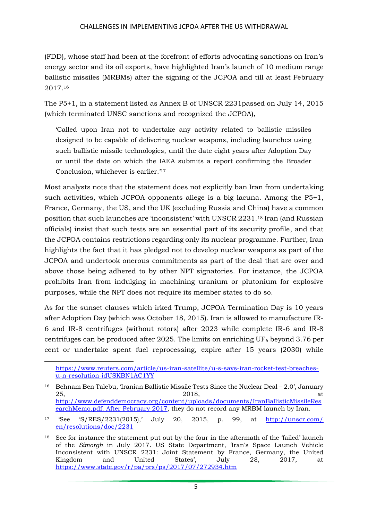(FDD), whose staff had been at the forefront of efforts advocating sanctions on Iran's energy sector and its oil exports, have highlighted Iran's launch of 10 medium range ballistic missiles (MRBMs) after the signing of the JCPOA and till at least February 2017.<sup>16</sup>

The P5+1, in a statement listed as Annex B of UNSCR 2231passed on July 14, 2015 (which terminated UNSC sanctions and recognized the JCPOA),

'Called upon Iran not to undertake any activity related to ballistic missiles designed to be capable of delivering nuclear weapons, including launches using such ballistic missile technologies, until the date eight years after Adoption Day or until the date on which the IAEA submits a report confirming the Broader Conclusion, whichever is earlier.'<sup>17</sup>

Most analysts note that the statement does not explicitly ban Iran from undertaking such activities, which JCPOA opponents allege is a big lacuna. Among the P5+1, France, Germany, the US, and the UK (excluding Russia and China) have a common position that such launches are 'inconsistent' with UNSCR 2231.<sup>18</sup> Iran (and Russian officials) insist that such tests are an essential part of its security profile, and that the JCPOA contains restrictions regarding only its nuclear programme. Further, Iran highlights the fact that it has pledged not to develop nuclear weapons as part of the JCPOA and undertook onerous commitments as part of the deal that are over and above those being adhered to by other NPT signatories. For instance, the JCPOA prohibits Iran from indulging in machining uranium or plutonium for explosive purposes, while the NPT does not require its member states to do so.

As for the sunset clauses which irked Trump, JCPOA Termination Day is 10 years after Adoption Day (which was October 18, 2015). Iran is allowed to manufacture IR-6 and IR-8 centrifuges (without rotors) after 2023 while complete IR-6 and IR-8 centrifuges can be produced after 2025. The limits on enriching  $UF_6$  beyond 3.76 per cent or undertake spent fuel reprocessing, expire after 15 years (2030) while

**.** 

[https://www.reuters.com/article/us-iran-satellite/u-s-says-iran-rocket-test-breaches](https://www.reuters.com/article/us-iran-satellite/u-s-says-iran-rocket-test-breaches-u-n-resolution-idUSKBN1AC1YY)[u-n-resolution-idUSKBN1AC1YY](https://www.reuters.com/article/us-iran-satellite/u-s-says-iran-rocket-test-breaches-u-n-resolution-idUSKBN1AC1YY)

<sup>&</sup>lt;sup>16</sup> Behnam Ben Talebu, 'Iranian Ballistic Missile Tests Since the Nuclear Deal  $-2.0$ ', January  $2018$ , at at a set of  $2018$ , at a set of  $2018$ , at a set of  $2018$ , at a set of  $2018$ , at a set of  $2018$ , at a set of  $2018$ , at a set of  $2018$ , at a set of  $2018$ , at a set of  $2018$ , at a set of  $2018$ , at a set o [http://www.defenddemocracy.org/content/uploads/documents/IranBallisticMissileRes](http://www.defenddemocracy.org/content/uploads/documents/IranBallisticMissileResearchMemo.pdf.%20After%20February%202017) [earchMemo.pdf. After February 2017,](http://www.defenddemocracy.org/content/uploads/documents/IranBallisticMissileResearchMemo.pdf.%20After%20February%202017) they do not record any MRBM launch by Iran.

<sup>17</sup> 'See 'S/RES/2231(2015),' July 20, 2015, p. 99, at [http://unscr.com/](http://unscr.com/%20en/resolutions/doc/2231) [en/resolutions/doc/2231](http://unscr.com/%20en/resolutions/doc/2231)

<sup>&</sup>lt;sup>18</sup> See for instance the statement put out by the four in the aftermath of the 'failed' launch of the *Simorgh* in July 2017. US State Department, 'Iran's Space Launch Vehicle Inconsistent with UNSCR 2231: Joint Statement by France, Germany, the United Kingdom and United States', July 28, 2017, at <https://www.state.gov/r/pa/prs/ps/2017/07/272934.htm>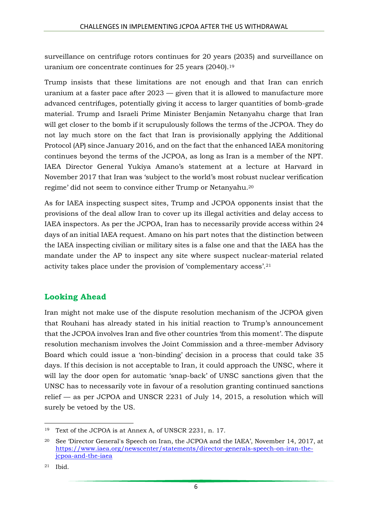surveillance on centrifuge rotors continues for 20 years (2035) and surveillance on uranium ore concentrate continues for 25 years (2040).<sup>19</sup>

Trump insists that these limitations are not enough and that Iran can enrich uranium at a faster pace after 2023 — given that it is allowed to manufacture more advanced centrifuges, potentially giving it access to larger quantities of bomb-grade material. Trump and Israeli Prime Minister Benjamin Netanyahu charge that Iran will get closer to the bomb if it scrupulously follows the terms of the JCPOA. They do not lay much store on the fact that Iran is provisionally applying the Additional Protocol (AP) since January 2016, and on the fact that the enhanced IAEA monitoring continues beyond the terms of the JCPOA, as long as Iran is a member of the NPT. IAEA Director General Yukiya Amano's statement at a lecture at Harvard in November 2017 that Iran was 'subject to the world's most robust nuclear verification regime' did not seem to convince either Trump or Netanyahu.<sup>20</sup>

As for IAEA inspecting suspect sites, Trump and JCPOA opponents insist that the provisions of the deal allow Iran to cover up its illegal activities and delay access to IAEA inspectors. As per the JCPOA, Iran has to necessarily provide access within 24 days of an initial IAEA request. Amano on his part notes that the distinction between the IAEA inspecting civilian or military sites is a false one and that the IAEA has the mandate under the AP to inspect any site where suspect nuclear-material related activity takes place under the provision of 'complementary access'.<sup>21</sup>

# **Looking Ahead**

Iran might not make use of the dispute resolution mechanism of the JCPOA given that Rouhani has already stated in his initial reaction to Trump's announcement that the JCPOA involves Iran and five other countries 'from this moment'. The dispute resolution mechanism involves the Joint Commission and a three-member Advisory Board which could issue a 'non-binding' decision in a process that could take 35 days. If this decision is not acceptable to Iran, it could approach the UNSC, where it will lay the door open for automatic 'snap-back' of UNSC sanctions given that the UNSC has to necessarily vote in favour of a resolution granting continued sanctions relief — as per JCPOA and UNSCR 2231 of July 14, 2015, a resolution which will surely be vetoed by the US.

**<sup>.</sup>** <sup>19</sup> Text of the JCPOA is at Annex A, of UNSCR 2231, n. 17.

<sup>20</sup> See 'Director General's Speech on Iran, the JCPOA and the IAEA', November 14, 2017, at [https://www.iaea.org/newscenter/statements/director-generals-speech-on-iran-the](https://www.iaea.org/newscenter/statements/director-generals-speech-on-iran-the-jcpoa-and-the-iaea)[jcpoa-and-the-iaea](https://www.iaea.org/newscenter/statements/director-generals-speech-on-iran-the-jcpoa-and-the-iaea)

<sup>21</sup> Ibid.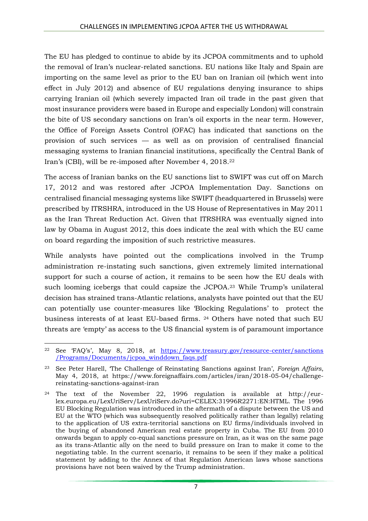The EU has pledged to continue to abide by its JCPOA commitments and to uphold the removal of Iran's nuclear-related sanctions. EU nations like Italy and Spain are importing on the same level as prior to the EU ban on Iranian oil (which went into effect in July 2012) and absence of EU regulations denying insurance to ships carrying Iranian oil (which severely impacted Iran oil trade in the past given that most insurance providers were based in Europe and especially London) will constrain the bite of US secondary sanctions on Iran's oil exports in the near term. However, the Office of Foreign Assets Control (OFAC) has indicated that sanctions on the provision of such services — as well as on provision of centralised financial messaging systems to Iranian financial institutions, specifically the Central Bank of Iran's (CBI), will be re-imposed after November 4, 2018.<sup>22</sup>

The access of Iranian banks on the EU sanctions list to SWIFT was cut off on March 17, 2012 and was restored after JCPOA Implementation Day. Sanctions on centralised financial messaging systems like SWIFT (headquartered in Brussels) were prescribed by ITRSHRA, introduced in the US House of Representatives in May 2011 as the Iran Threat Reduction Act. Given that ITRSHRA was eventually signed into law by Obama in August 2012, this does indicate the zeal with which the EU came on board regarding the imposition of such restrictive measures.

While analysts have pointed out the complications involved in the Trump administration re-instating such sanctions, given extremely limited international support for such a course of action, it remains to be seen how the EU deals with such looming icebergs that could capsize the JCPOA. <sup>23</sup> While Trump's unilateral decision has strained trans-Atlantic relations, analysts have pointed out that the EU can potentially use counter-measures like 'Blocking Regulations' to protect the business interests of at least EU-based firms. <sup>24</sup> Others have noted that such EU threats are 'empty' as access to the US financial system is of paramount importance

**<sup>.</sup>** <sup>22</sup> See 'FAQ's', May 8, 2018, at [https://www.treasury.gov/resource-center/sanctions](https://www.treasury.gov/resource-center/sanctions%20/Programs/Documents/jcpoa_winddown_faqs.pdf) [/Programs/Documents/jcpoa\\_winddown\\_faqs.pdf](https://www.treasury.gov/resource-center/sanctions%20/Programs/Documents/jcpoa_winddown_faqs.pdf)

<sup>23</sup> See Peter Harell, 'The Challenge of Reinstating Sanctions against Iran', *Foreign Affairs*, May 4, 2018, at https://www.foreignaffairs.com/articles/iran/2018-05-04/challengereinstating-sanctions-against-iran

<sup>24</sup> The text of the November 22, 1996 regulation is available at http://eurlex.europa.eu/LexUriServ/LexUriServ.do?uri=CELEX:31996R2271:EN:HTML. The 1996 EU Blocking Regulation was introduced in the aftermath of a dispute between the US and EU at the WTO (which was subsequently resolved politically rather than legally) relating to the application of US extra-territorial sanctions on EU firms/individuals involved in the buying of abandoned American real estate property in Cuba. The EU from 2010 onwards began to apply co-equal sanctions pressure on Iran, as it was on the same page as its trans-Atlantic ally on the need to build pressure on Iran to make it come to the negotiating table. In the current scenario, it remains to be seen if they make a political statement by adding to the Annex of that Regulation American laws whose sanctions provisions have not been waived by the Trump administration.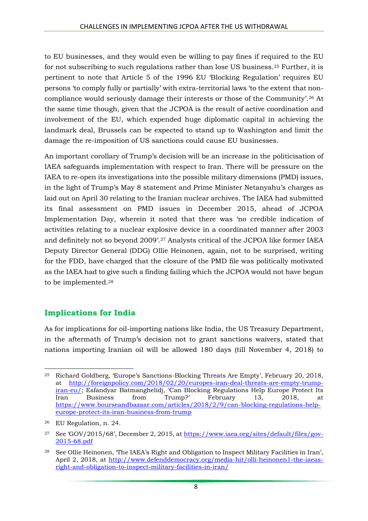to EU businesses, and they would even be willing to pay fines if required to the EU for not subscribing to such regulations rather than lose US business.<sup>25</sup> Further, it is pertinent to note that Article 5 of the 1996 EU 'Blocking Regulation' requires EU persons 'to comply fully or partially' with extra-territorial laws 'to the extent that noncompliance would seriously damage their interests or those of the Community'.<sup>26</sup> At the same time though, given that the JCPOA is the result of active coordination and involvement of the EU, which expended huge diplomatic capital in achieving the landmark deal, Brussels can be expected to stand up to Washington and limit the damage the re-imposition of US sanctions could cause EU businesses.

An important corollary of Trump's decision will be an increase in the politicisation of IAEA safeguards implementation with respect to Iran. There will be pressure on the IAEA to re-open its investigations into the possible military dimensions (PMD) issues, in the light of Trump's May 8 statement and Prime Minister Netanyahu's charges as laid out on April 30 relating to the Iranian nuclear archives. The IAEA had submitted its final assessment on PMD issues in December 2015, ahead of JCPOA Implementation Day, wherein it noted that there was 'no credible indication of activities relating to a nuclear explosive device in a coordinated manner after 2003 and definitely not so beyond 2009'.<sup>27</sup> Analysts critical of the JCPOA like former IAEA Deputy Director General (DDG) Ollie Heinonen, again, not to be surprised, writing for the FDD, have charged that the closure of the PMD file was politically motivated as the IAEA had to give such a finding failing which the JCPOA would not have begun to be implemented.<sup>28</sup>

## **Implications for India**

As for implications for oil-importing nations like India, the US Treasury Department, in the aftermath of Trump's decision not to grant sanctions waivers, stated that nations importing Iranian oil will be allowed 180 days (till November 4, 2018) to

<sup>1</sup> <sup>25</sup> Richard Goldberg, 'Europe's Sanctions-Blocking Threats Are Empty', February 20, 2018, at [http://foreignpolicy.com/2018/02/20/europes-iran-deal-threats-are-empty-trump](http://foreignpolicy.com/2018/02/20/europes-iran-deal-threats-are-empty-trump-iran-eu/)[iran-eu/;](http://foreignpolicy.com/2018/02/20/europes-iran-deal-threats-are-empty-trump-iran-eu/) Esfandyar Batmanghelidj, 'Can Blocking Regulations Help Europe Protect Its Iran Business from Trump?' February 13, 2018, at [https://www.bourseandbazaar.com/articles/2018/2/9/can-blocking-regulations-help](https://www.bourseandbazaar.com/articles/2018/2/9/can-blocking-regulations-help-europe-protect-its-iran-business-from-trump)[europe-protect-its-iran-business-from-trump](https://www.bourseandbazaar.com/articles/2018/2/9/can-blocking-regulations-help-europe-protect-its-iran-business-from-trump)

<sup>26</sup> EU Regulation, n. 24.

<sup>27</sup> See 'GOV/2015/68', December 2, 2015, at [https://www.iaea.org/sites/default/files/gov-](https://www.iaea.org/sites/default/files/gov-2015-68.pdf)[2015-68.pdf](https://www.iaea.org/sites/default/files/gov-2015-68.pdf)

<sup>28</sup> See Ollie Heinonen, 'The IAEA's Right and Obligation to Inspect Military Facilities in Iran', April 2, 2018, at [http://www.defenddemocracy.org/media-hit/olli-heinonen1-the-iaeas](http://www.defenddemocracy.org/media-hit/olli-heinonen1-the-iaeas-right-and-obligation-to-inspect-military-facilities-in-iran/)[right-and-obligation-to-inspect-military-facilities-in-iran/](http://www.defenddemocracy.org/media-hit/olli-heinonen1-the-iaeas-right-and-obligation-to-inspect-military-facilities-in-iran/)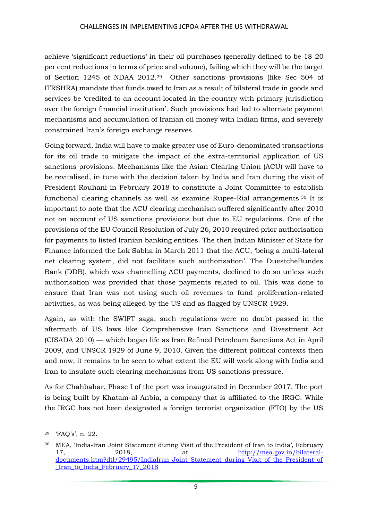achieve 'significant reductions' in their oil purchases (generally defined to be 18-20 per cent reductions in terms of price and volume), failing which they will be the target of Section 1245 of NDAA 2012.<sup>29</sup> Other sanctions provisions (like Sec 504 of ITRSHRA) mandate that funds owed to Iran as a result of bilateral trade in goods and services be 'credited to an account located in the country with primary jurisdiction over the foreign financial institution'. Such provisions had led to alternate payment mechanisms and accumulation of Iranian oil money with Indian firms, and severely constrained Iran's foreign exchange reserves.

Going forward, India will have to make greater use of Euro-denominated transactions for its oil trade to mitigate the impact of the extra-territorial application of US sanctions provisions. Mechanisms like the Asian Clearing Union (ACU) will have to be revitalised, in tune with the decision taken by India and Iran during the visit of President Rouhani in February 2018 to constitute a Joint Committee to establish functional clearing channels as well as examine Rupee-Rial arrangements.<sup>30</sup> It is important to note that the ACU clearing mechanism suffered significantly after 2010 not on account of US sanctions provisions but due to EU regulations. One of the provisions of the EU Council Resolution of July 26, 2010 required prior authorisation for payments to listed Iranian banking entities. The then Indian Minister of State for Finance informed the Lok Sabha in March 2011 that the ACU, 'being a multi-lateral net clearing system, did not facilitate such authorisation'. The DuestcheBundes Bank (DDB), which was channelling ACU payments, declined to do so unless such authorisation was provided that those payments related to oil. This was done to ensure that Iran was not using such oil revenues to fund proliferation-related activities, as was being alleged by the US and as flagged by UNSCR 1929.

Again, as with the SWIFT saga, such regulations were no doubt passed in the aftermath of US laws like Comprehensive Iran Sanctions and Divestment Act (CISADA 2010) — which began life as Iran Refined Petroleum Sanctions Act in April 2009, and UNSCR 1929 of June 9, 2010. Given the different political contexts then and now, it remains to be seen to what extent the EU will work along with India and Iran to insulate such clearing mechanisms from US sanctions pressure.

As for Chahbahar, Phase I of the port was inaugurated in December 2017. The port is being built by Khatam-al Anbia, a company that is affiliated to the IRGC. While the IRGC has not been designated a foreign terrorist organization (FTO) by the US

**.** 

<sup>29</sup> 'FAQ's', n. 22.

<sup>30</sup> MEA, 'India-Iran Joint Statement during Visit of the President of Iran to India', February 17, 2018, at [http://mea.gov.in/bilateral](http://mea.gov.in/bilateral-documents.htm?dtl/29495/IndiaIran_Joint_Statement_during_Visit_of_the_President_of_Iran_to_India_February_17_2018)[documents.htm?dtl/29495/IndiaIran\\_Joint\\_Statement\\_during\\_Visit\\_of\\_the\\_President\\_of](http://mea.gov.in/bilateral-documents.htm?dtl/29495/IndiaIran_Joint_Statement_during_Visit_of_the_President_of_Iran_to_India_February_17_2018) Iran to India February 17 2018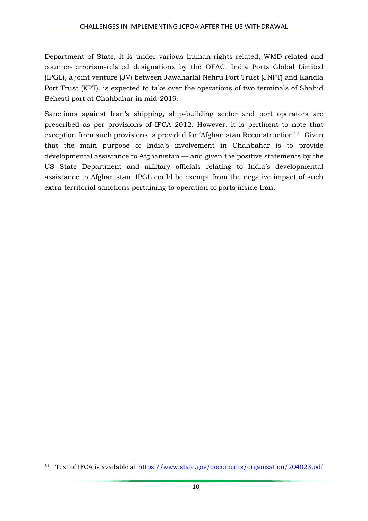Department of State, it is under various human-rights-related, WMD-related and counter-terrorism-related designations by the OFAC. India Ports Global Limited (IPGL), a joint venture (JV) between Jawaharlal Nehru Port Trust (JNPT) and Kandla Port Trust (KPT), is expected to take over the operations of two terminals of Shahid Behesti port at Chahbahar in mid-2019.

Sanctions against Iran's shipping, ship-building sector and port operators are prescribed as per provisions of IFCA 2012. However, it is pertinent to note that exception from such provisions is provided for 'Afghanistan Reconstruction'.<sup>31</sup> Given that the main purpose of India's involvement in Chahbahar is to provide developmental assistance to Afghanistan — and given the positive statements by the US State Department and military officials relating to India's developmental assistance to Afghanistan, IPGL could be exempt from the negative impact of such extra-territorial sanctions pertaining to operation of ports inside Iran.

**<sup>.</sup>** <sup>31</sup> Text of IFCA is available at<https://www.state.gov/documents/organization/204023.pdf>